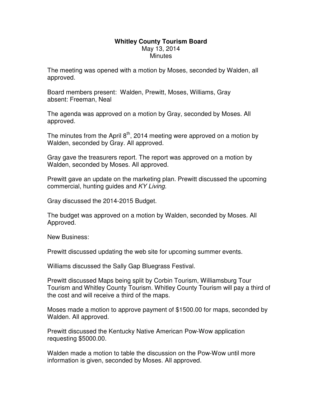## **Whitley County Tourism Board**  May 13, 2014 **Minutes**

The meeting was opened with a motion by Moses, seconded by Walden, all approved.

Board members present: Walden, Prewitt, Moses, Williams, Gray absent: Freeman, Neal

The agenda was approved on a motion by Gray, seconded by Moses. All approved.

The minutes from the April  $8<sup>th</sup>$ , 2014 meeting were approved on a motion by Walden, seconded by Gray. All approved.

Gray gave the treasurers report. The report was approved on a motion by Walden, seconded by Moses. All approved.

Prewitt gave an update on the marketing plan. Prewitt discussed the upcoming commercial, hunting guides and KY Living.

Gray discussed the 2014-2015 Budget.

The budget was approved on a motion by Walden, seconded by Moses. All Approved.

New Business:

Prewitt discussed updating the web site for upcoming summer events.

Williams discussed the Sally Gap Bluegrass Festival.

Prewitt discussed Maps being split by Corbin Tourism, Williamsburg Tour Tourism and Whitley County Tourism. Whitley County Tourism will pay a third of the cost and will receive a third of the maps.

Moses made a motion to approve payment of \$1500.00 for maps, seconded by Walden. All approved.

Prewitt discussed the Kentucky Native American Pow-Wow application requesting \$5000.00.

Walden made a motion to table the discussion on the Pow-Wow until more information is given, seconded by Moses. All approved.